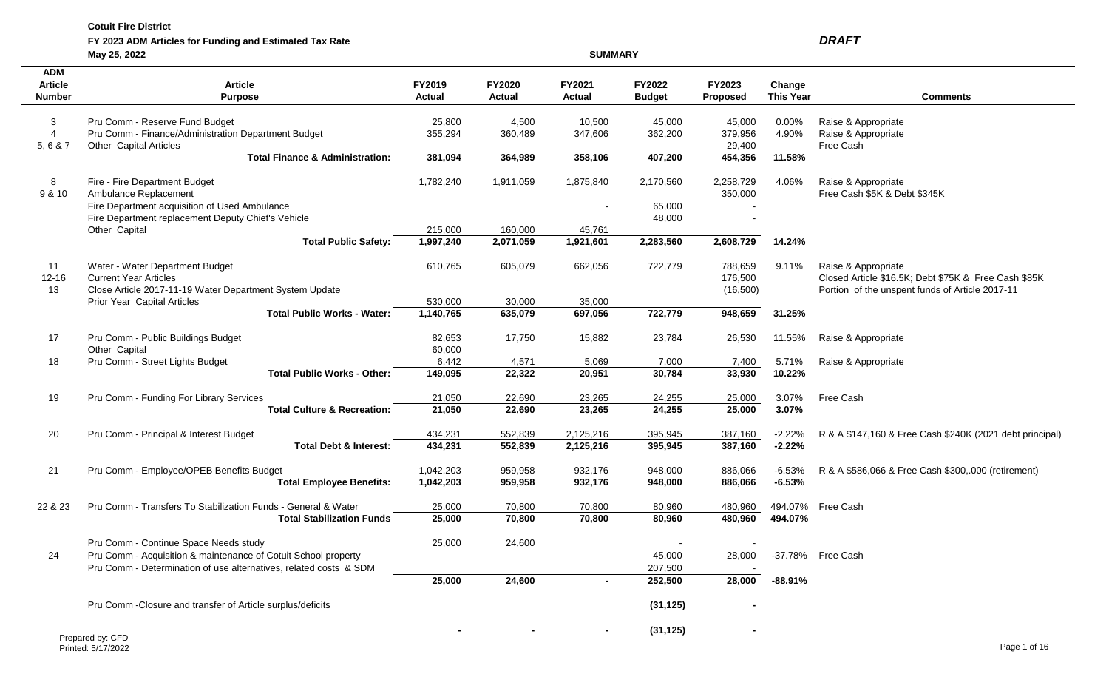$\sim$ 

 $\sim$ 

| FY 2023 ADM Articles for Funding and Estimated Tax Rate | <b>DRAFT</b> |
|---------------------------------------------------------|--------------|
|---------------------------------------------------------|--------------|

|                                               | May 25, 2022                                                                                                                                                                 |                         |                                | <b>SUMMARY</b>          |                                               |                                  |                            |                                                                                                                                |
|-----------------------------------------------|------------------------------------------------------------------------------------------------------------------------------------------------------------------------------|-------------------------|--------------------------------|-------------------------|-----------------------------------------------|----------------------------------|----------------------------|--------------------------------------------------------------------------------------------------------------------------------|
| <b>ADM</b><br><b>Article</b><br><b>Number</b> | <b>Article</b><br><b>Purpose</b>                                                                                                                                             | FY2019<br><b>Actual</b> | <b>FY2020</b><br><b>Actual</b> | FY2021<br><b>Actual</b> | <b>FY2022</b><br><b>Budget</b>                | <b>FY2023</b><br><b>Proposed</b> | Change<br><b>This Year</b> | <b>Comments</b>                                                                                                                |
| 3<br>5,6 & 7                                  | Pru Comm - Reserve Fund Budget<br>Pru Comm - Finance/Administration Department Budget<br>Other Capital Articles                                                              | 25,800<br>355,294       | 4,500<br>360,489               | 10,500<br>347,606       | 45,000<br>362,200                             | 45,000<br>379,956<br>29,400      | $0.00\%$<br>4.90%          | Raise & Appropriate<br>Raise & Appropriate<br>Free Cash                                                                        |
|                                               | <b>Total Finance &amp; Administration:</b>                                                                                                                                   | 381,094                 | 364,989                        | 358,106                 | 407,200                                       | 454,356                          | 11.58%                     |                                                                                                                                |
| 8<br>9 & 10                                   | Fire - Fire Department Budget<br>Ambulance Replacement<br>Fire Department acquisition of Used Ambulance                                                                      | 1,782,240               | 1,911,059                      | 1,875,840               | 2,170,560<br>65,000                           | 2,258,729<br>350,000             | 4.06%                      | Raise & Appropriate<br>Free Cash \$5K & Debt \$345K                                                                            |
|                                               | Fire Department replacement Deputy Chief's Vehicle<br>Other Capital                                                                                                          |                         |                                |                         | 48,000                                        |                                  |                            |                                                                                                                                |
|                                               | <b>Total Public Safety:</b>                                                                                                                                                  | 215,000<br>1,997,240    | 160,000<br>2,071,059           | 45,761<br>1,921,601     | 2,283,560                                     | 2,608,729                        | 14.24%                     |                                                                                                                                |
| 11<br>$12 - 16$<br>13                         | Water - Water Department Budget<br><b>Current Year Articles</b><br>Close Article 2017-11-19 Water Department System Update                                                   | 610,765                 | 605,079                        | 662,056                 | 722,779                                       | 788,659<br>176,500<br>(16,500)   | 9.11%                      | Raise & Appropriate<br>Closed Article \$16.5K; Debt \$75K & Free Cash \$85K<br>Portion of the unspent funds of Article 2017-11 |
|                                               | Prior Year Capital Articles<br><b>Total Public Works - Water:</b>                                                                                                            | 530,000<br>1,140,765    | 30,000<br>635,079              | 35,000<br>697,056       | 722,779                                       | 948,659                          | 31.25%                     |                                                                                                                                |
| 17                                            | Pru Comm - Public Buildings Budget<br>Other Capital                                                                                                                          | 82,653<br>60,000        | 17,750                         | 15,882                  | 23,784                                        | 26,530                           | 11.55%                     | Raise & Appropriate                                                                                                            |
| 18                                            | Pru Comm - Street Lights Budget<br><b>Total Public Works - Other:</b>                                                                                                        | 6,442<br>149,095        | 4,571<br>22,322                | 5,069<br>20,951         | 7,000<br>30,784                               | 7,400<br>33,930                  | 5.71%<br>10.22%            | Raise & Appropriate                                                                                                            |
| 19                                            | Pru Comm - Funding For Library Services                                                                                                                                      | 21,050                  | 22,690                         | 23,265                  | 24,255                                        | 25,000                           | 3.07%                      | Free Cash                                                                                                                      |
|                                               | <b>Total Culture &amp; Recreation:</b>                                                                                                                                       | 21,050                  | 22,690                         | 23,265                  | 24,255                                        | 25,000                           | 3.07%                      |                                                                                                                                |
| 20                                            | Pru Comm - Principal & Interest Budget<br><b>Total Debt &amp; Interest:</b>                                                                                                  | 434,231<br>434,231      | 552,839<br>552,839             | 2,125,216<br>2,125,216  | 395,945<br>395,945                            | 387,160<br>387,160               | $-2.22%$<br>$-2.22%$       | R & A \$147,160 & Free Cash \$240K (2021 debt principal)                                                                       |
| 21                                            | Pru Comm - Employee/OPEB Benefits Budget<br><b>Total Employee Benefits:</b>                                                                                                  | 1,042,203<br>1,042,203  | 959,958<br>959,958             | 932,176<br>932,176      | 948,000<br>948,000                            | 886,066<br>886,066               | $-6.53%$<br>$-6.53%$       | R & A \$586,066 & Free Cash \$300,.000 (retirement)                                                                            |
| 22 & 23                                       | Pru Comm - Transfers To Stabilization Funds - General & Water<br><b>Total Stabilization Funds</b>                                                                            | 25,000<br>25,000        | 70,800<br>70,800               | 70,800<br>70,800        | 80,960<br>80,960                              | 480,960<br>480,960               | 494.07%<br>494.07%         | Free Cash                                                                                                                      |
| 24                                            | Pru Comm - Continue Space Needs study<br>Pru Comm - Acquisition & maintenance of Cotuit School property<br>Pru Comm - Determination of use alternatives, related costs & SDM | 25,000                  | 24,600                         |                         | $\overline{\phantom{a}}$<br>45,000<br>207,500 | 28,000                           |                            | -37.78% Free Cash                                                                                                              |
|                                               |                                                                                                                                                                              | 25,000                  | 24,600                         |                         | 252,500                                       | 28,000                           | $-88.91%$                  |                                                                                                                                |
|                                               | Pru Comm - Closure and transfer of Article surplus/deficits                                                                                                                  |                         |                                |                         | (31, 125)                                     |                                  |                            |                                                                                                                                |
|                                               | $\sim$ $\sim$ $\sim$                                                                                                                                                         | $\sim$                  | $\sim$                         | $\sim$                  | (31, 125)                                     | $\bullet$                        |                            |                                                                                                                                |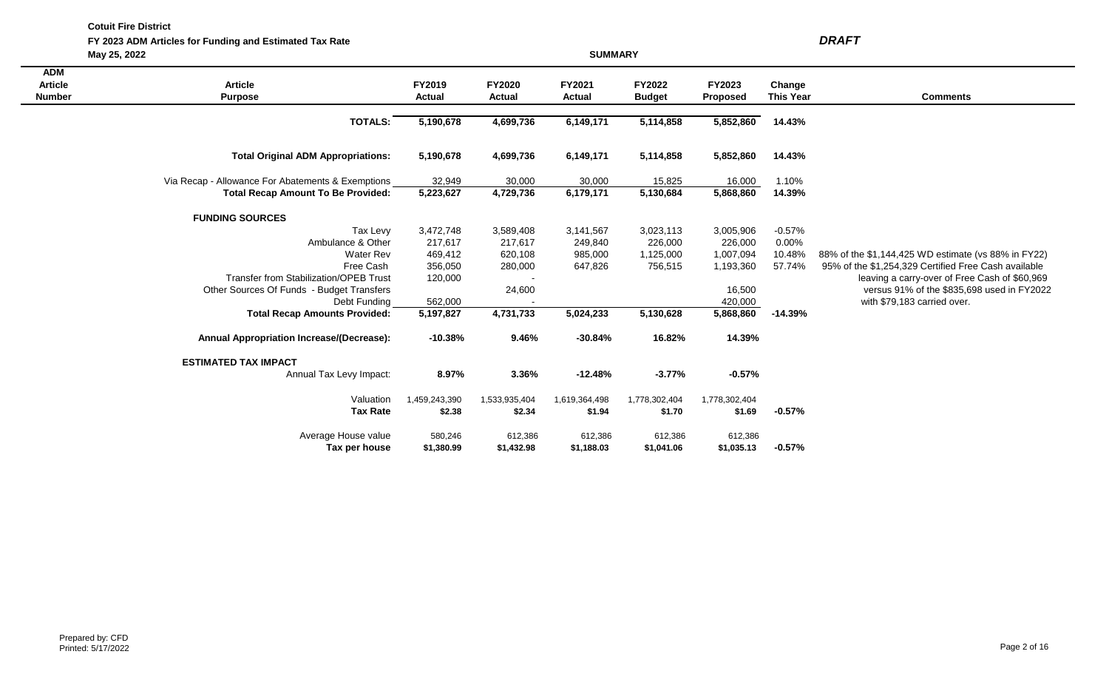**FY 2023 ADM Articles for Funding and Estimated Tax Rate** *DRAFT*

**May 25, 2022 SUMMARY**

| <b>ADM</b>     |                                                   |                        |               |               |               |                 |                  |                                                      |
|----------------|---------------------------------------------------|------------------------|---------------|---------------|---------------|-----------------|------------------|------------------------------------------------------|
| <b>Article</b> | <b>Article</b>                                    | FY2019                 | <b>FY2020</b> | FY2021        | <b>FY2022</b> | FY2023          | Change           |                                                      |
| <b>Number</b>  | <b>Purpose</b>                                    | <b>Actual</b>          | Actual        | <b>Actual</b> | <b>Budget</b> | <b>Proposed</b> | <b>This Year</b> | <b>Comments</b>                                      |
|                |                                                   | 5,190,678              | 4,699,736     | 6,149,171     | 5,114,858     | 5,852,860       | 14.43%           |                                                      |
|                | <b>TOTALS:</b>                                    |                        |               |               |               |                 |                  |                                                      |
|                | <b>Total Original ADM Appropriations:</b>         | 5,190,678              | 4,699,736     | 6,149,171     | 5,114,858     | 5,852,860       | 14.43%           |                                                      |
|                |                                                   |                        |               |               |               |                 |                  |                                                      |
|                | Via Recap - Allowance For Abatements & Exemptions | 32,949                 | 30,000        | 30,000        | 15,825        | 16,000          | 1.10%            |                                                      |
|                | <b>Total Recap Amount To Be Provided:</b>         | 5,223,627              | 4,729,736     | 6,179,171     | 5,130,684     | 5,868,860       | 14.39%           |                                                      |
|                | <b>FUNDING SOURCES</b>                            |                        |               |               |               |                 |                  |                                                      |
|                | Tax Levy                                          | 3,472,748              | 3,589,408     | 3,141,567     | 3,023,113     | 3,005,906       | $-0.57%$         |                                                      |
|                | Ambulance & Other                                 | 217,617                | 217,617       | 249,840       | 226,000       | 226,000         | 0.00%            |                                                      |
|                | <b>Water Rev</b>                                  | 469,412                | 620,108       | 985,000       | 1,125,000     | 1,007,094       | 10.48%           | 88% of the \$1,144,425 WD estimate (vs 88% in FY22)  |
|                | Free Cash                                         | 356,050                | 280,000       | 647,826       | 756,515       | 1,193,360       | 57.74%           | 95% of the \$1,254,329 Certified Free Cash available |
|                | <b>Transfer from Stabilization/OPEB Trust</b>     | 120,000                |               |               |               |                 |                  | leaving a carry-over of Free Cash of \$60,969        |
|                | Other Sources Of Funds - Budget Transfers         |                        | 24,600        |               |               | 16,500          |                  | versus 91% of the \$835,698 used in FY2022           |
|                | Debt Funding                                      | 562,000                |               |               |               | 420,000         |                  | with \$79,183 carried over.                          |
|                | <b>Total Recap Amounts Provided:</b>              | $\overline{5,}197,827$ | 4,731,733     | 5,024,233     | 5,130,628     | 5,868,860       | $-14.39%$        |                                                      |
|                | <b>Annual Appropriation Increase/(Decrease):</b>  | $-10.38%$              | 9.46%         | $-30.84%$     | 16.82%        | 14.39%          |                  |                                                      |
|                | <b>ESTIMATED TAX IMPACT</b>                       |                        |               |               |               |                 |                  |                                                      |
|                | Annual Tax Levy Impact:                           | 8.97%                  | 3.36%         | $-12.48%$     | $-3.77%$      | $-0.57%$        |                  |                                                      |
|                | Valuation                                         | 1,459,243,390          | 1,533,935,404 | 1,619,364,498 | 1,778,302,404 | 1,778,302,404   |                  |                                                      |
|                | <b>Tax Rate</b>                                   | \$2.38                 | \$2.34        | \$1.94        | \$1.70        | \$1.69          | $-0.57%$         |                                                      |
|                | Average House value                               | 580,246                | 612,386       | 612,386       | 612,386       | 612,386         |                  |                                                      |
|                | Tax per house                                     | \$1,380.99             | \$1,432.98    | \$1,188.03    | \$1,041.06    | \$1,035.13      | $-0.57%$         |                                                      |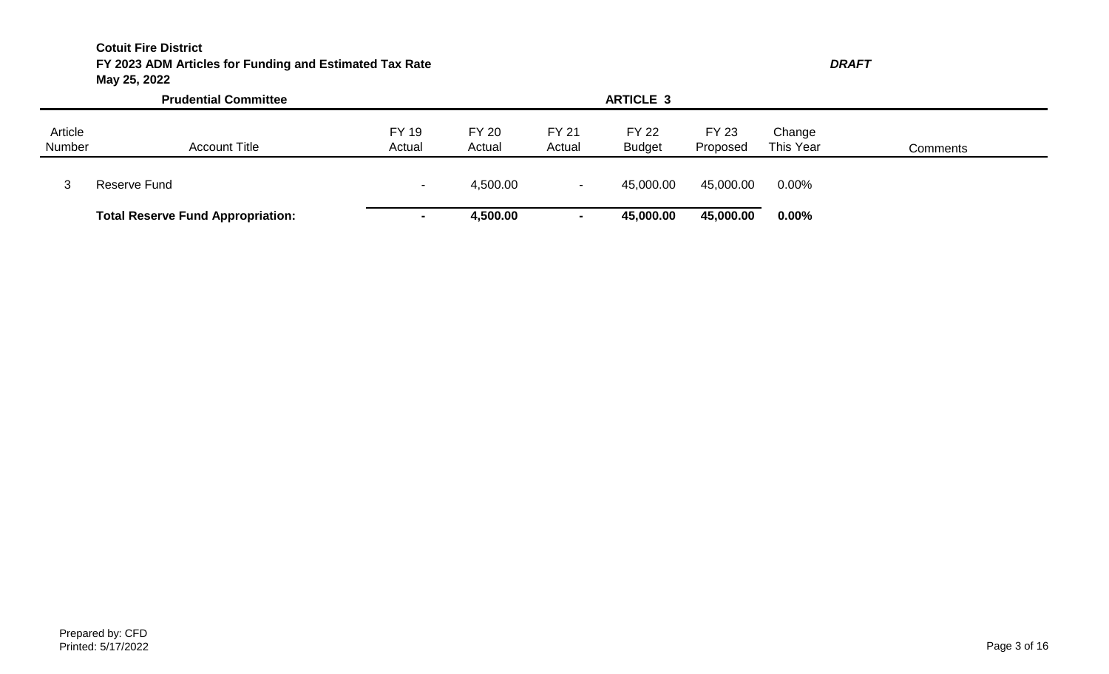# **Cotuit Fire District FY 2023 ADM Articles for Funding and Estimated Tax Rate** *DRAFT* **May 25, 2022**

|                   | <b>Prudential Committee</b>              |                        |                        |                        |                               |                          |                     |                 |
|-------------------|------------------------------------------|------------------------|------------------------|------------------------|-------------------------------|--------------------------|---------------------|-----------------|
| Article<br>Number | <b>Account Title</b>                     | <b>FY 19</b><br>Actual | <b>FY 20</b><br>Actual | <b>FY 21</b><br>Actual | <b>FY 22</b><br><b>Budget</b> | <b>FY 23</b><br>Proposed | Change<br>This Year | <b>Comments</b> |
|                   | Reserve Fund                             |                        | 4,500.00               |                        | 45,000.00                     | 45,000.00                | 0.00%               |                 |
|                   | <b>Total Reserve Fund Appropriation:</b> | $\sim$                 | 4,500.00               |                        | 45,000.00                     | 45,000.00                | 0.00%               |                 |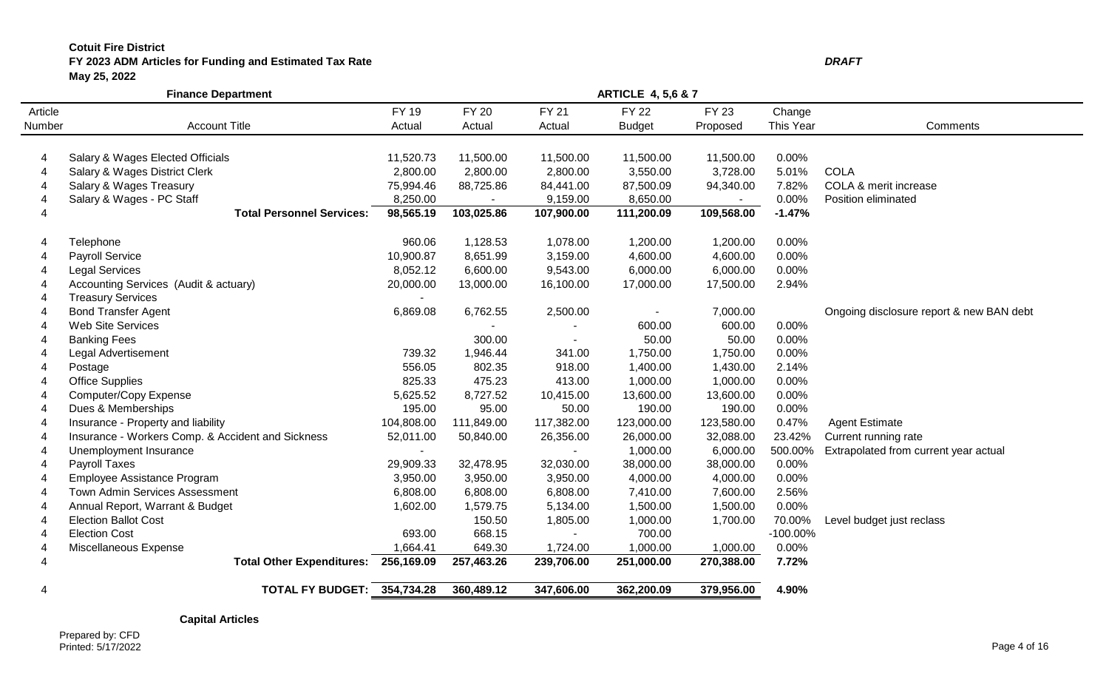# **Cotuit Fire District FY 2023 ADM Articles for Funding and Estimated Tax Rate** *DRAFT* **May 25, 2022**

|         | <b>Finance Department</b>                         |            |                | <b>ARTICLE 4, 5,6 &amp; 7</b> |               |            |             |                                          |
|---------|---------------------------------------------------|------------|----------------|-------------------------------|---------------|------------|-------------|------------------------------------------|
| Article |                                                   | FY 19      | <b>FY 20</b>   | <b>FY 21</b>                  | <b>FY 22</b>  | FY 23      | Change      |                                          |
| Number  | <b>Account Title</b>                              | Actual     | Actual         | Actual                        | <b>Budget</b> | Proposed   | This Year   | Comments                                 |
|         |                                                   |            |                |                               |               |            |             |                                          |
| 4       | Salary & Wages Elected Officials                  | 11,520.73  | 11,500.00      | 11,500.00                     | 11,500.00     | 11,500.00  | 0.00%       |                                          |
| 4       | Salary & Wages District Clerk                     | 2,800.00   | 2,800.00       | 2,800.00                      | 3,550.00      | 3,728.00   | 5.01%       | <b>COLA</b>                              |
| 4       | Salary & Wages Treasury                           | 75,994.46  | 88,725.86      | 84,441.00                     | 87,500.09     | 94,340.00  | 7.82%       | COLA & merit increase                    |
|         | Salary & Wages - PC Staff                         | 8,250.00   | $\blacksquare$ | 9,159.00                      | 8,650.00      | $\sim$     | 0.00%       | Position eliminated                      |
|         | <b>Total Personnel Services:</b>                  | 98,565.19  | 103,025.86     | 107,900.00                    | 111,200.09    | 109,568.00 | $-1.47%$    |                                          |
|         | Telephone                                         | 960.06     | 1,128.53       | 1,078.00                      | 1,200.00      | 1,200.00   | 0.00%       |                                          |
|         | <b>Payroll Service</b>                            | 10,900.87  | 8,651.99       | 3,159.00                      | 4,600.00      | 4,600.00   | 0.00%       |                                          |
|         | <b>Legal Services</b>                             | 8,052.12   | 6,600.00       | 9,543.00                      | 6,000.00      | 6,000.00   | 0.00%       |                                          |
|         | Accounting Services (Audit & actuary)             | 20,000.00  | 13,000.00      | 16,100.00                     | 17,000.00     | 17,500.00  | 2.94%       |                                          |
|         | <b>Treasury Services</b>                          |            |                |                               |               |            |             |                                          |
|         | <b>Bond Transfer Agent</b>                        | 6,869.08   | 6,762.55       | 2,500.00                      |               | 7,000.00   |             | Ongoing disclosure report & new BAN debt |
|         | <b>Web Site Services</b>                          |            |                |                               | 600.00        | 600.00     | 0.00%       |                                          |
|         | <b>Banking Fees</b>                               |            | 300.00         | $\sim$                        | 50.00         | 50.00      | 0.00%       |                                          |
|         | Legal Advertisement                               | 739.32     | 1,946.44       | 341.00                        | 1,750.00      | 1,750.00   | 0.00%       |                                          |
|         | Postage                                           | 556.05     | 802.35         | 918.00                        | 1,400.00      | 1,430.00   | 2.14%       |                                          |
|         | <b>Office Supplies</b>                            | 825.33     | 475.23         | 413.00                        | 1,000.00      | 1,000.00   | 0.00%       |                                          |
|         | Computer/Copy Expense                             | 5,625.52   | 8,727.52       | 10,415.00                     | 13,600.00     | 13,600.00  | 0.00%       |                                          |
|         | Dues & Memberships                                | 195.00     | 95.00          | 50.00                         | 190.00        | 190.00     | 0.00%       |                                          |
|         | Insurance - Property and liability                | 104,808.00 | 111,849.00     | 117,382.00                    | 123,000.00    | 123,580.00 | 0.47%       | <b>Agent Estimate</b>                    |
|         | Insurance - Workers Comp. & Accident and Sickness | 52,011.00  | 50,840.00      | 26,356.00                     | 26,000.00     | 32,088.00  | 23.42%      | Current running rate                     |
|         | Unemployment Insurance                            |            |                |                               | 1,000.00      | 6,000.00   | 500.00%     | Extrapolated from current year actual    |
|         | Payroll Taxes                                     | 29,909.33  | 32,478.95      | 32,030.00                     | 38,000.00     | 38,000.00  | 0.00%       |                                          |
|         | Employee Assistance Program                       | 3,950.00   | 3,950.00       | 3,950.00                      | 4,000.00      | 4,000.00   | 0.00%       |                                          |
|         | Town Admin Services Assessment                    | 6,808.00   | 6,808.00       | 6,808.00                      | 7,410.00      | 7,600.00   | 2.56%       |                                          |
|         | Annual Report, Warrant & Budget                   | 1,602.00   | 1,579.75       | 5,134.00                      | 1,500.00      | 1,500.00   | 0.00%       |                                          |
|         | <b>Election Ballot Cost</b>                       |            | 150.50         | 1,805.00                      | 1,000.00      | 1,700.00   | 70.00%      | Level budget just reclass                |
|         | <b>Election Cost</b>                              | 693.00     | 668.15         | $\sim$                        | 700.00        |            | $-100.00\%$ |                                          |
|         | Miscellaneous Expense                             | 1,664.41   | 649.30         | 1,724.00                      | 1,000.00      | 1,000.00   | 0.00%       |                                          |
|         | <b>Total Other Expenditures:</b>                  | 256,169.09 | 257,463.26     | 239,706.00                    | 251,000.00    | 270,388.00 | 7.72%       |                                          |
| 4       | <b>TOTAL FY BUDGET: 354,734.28</b>                |            | 360,489.12     | 347,606.00                    | 362,200.09    | 379,956.00 | 4.90%       |                                          |

**Capital Articles**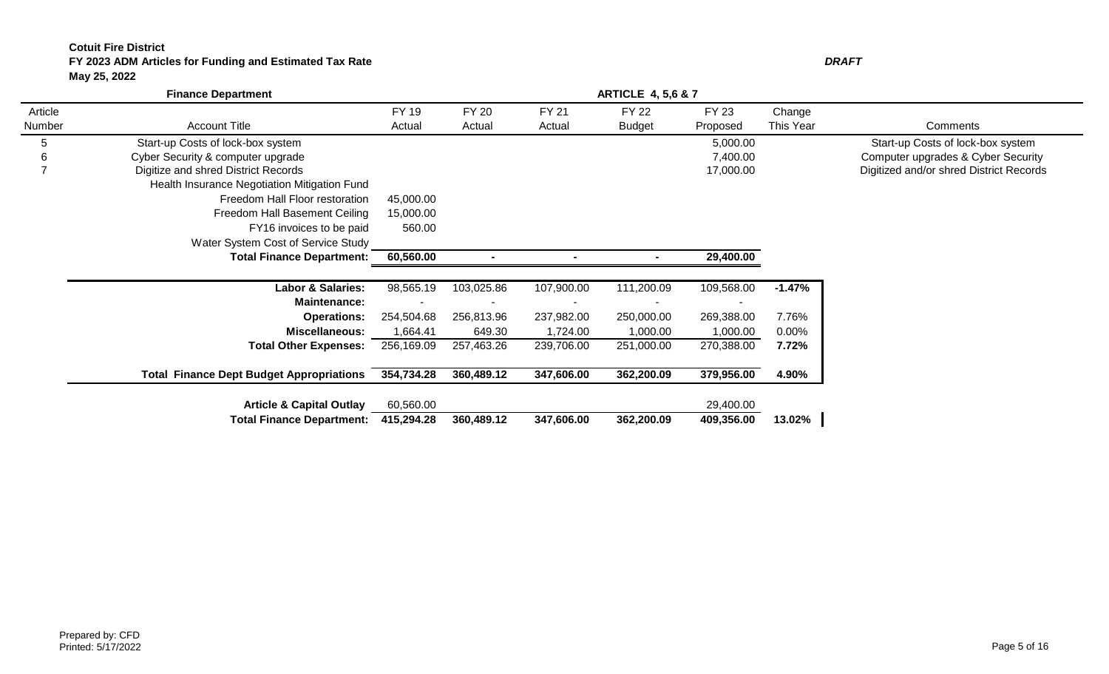# **Cotuit Fire District FY 2023 ADM Articles for Funding and Estimated Tax Rate** *DRAFT* **May 25, 2022**

|                          | <b>Finance Department</b>                       |                 |                        |                        | <b>ARTICLE 4, 5,6 &amp; 7</b> |                   |                     |                                         |
|--------------------------|-------------------------------------------------|-----------------|------------------------|------------------------|-------------------------------|-------------------|---------------------|-----------------------------------------|
| Article<br>Number        | <b>Account Title</b>                            | FY 19<br>Actual | <b>FY 20</b><br>Actual | <b>FY 21</b><br>Actual | <b>FY 22</b><br><b>Budget</b> | FY 23<br>Proposed | Change<br>This Year | Comments                                |
| 5                        | Start-up Costs of lock-box system               |                 |                        |                        |                               | 5,000.00          |                     | Start-up Costs of lock-box system       |
| 6                        | Cyber Security & computer upgrade               |                 |                        |                        |                               | 7,400.00          |                     | Computer upgrades & Cyber Security      |
| $\overline{\phantom{0}}$ | Digitize and shred District Records             |                 |                        |                        |                               | 17,000.00         |                     | Digitized and/or shred District Records |
|                          | Health Insurance Negotiation Mitigation Fund    |                 |                        |                        |                               |                   |                     |                                         |
|                          | Freedom Hall Floor restoration                  | 45,000.00       |                        |                        |                               |                   |                     |                                         |
|                          | Freedom Hall Basement Ceiling                   | 15,000.00       |                        |                        |                               |                   |                     |                                         |
|                          | FY16 invoices to be paid                        | 560.00          |                        |                        |                               |                   |                     |                                         |
|                          | Water System Cost of Service Study              |                 |                        |                        |                               |                   |                     |                                         |
|                          | <b>Total Finance Department:</b>                | 60,560.00       |                        |                        |                               | 29,400.00         |                     |                                         |
|                          | <b>Labor &amp; Salaries:</b>                    | 98,565.19       | 103,025.86             | 107,900.00             | 111,200.09                    | 109,568.00        | $-1.47%$            |                                         |
|                          | <b>Maintenance:</b>                             |                 |                        |                        |                               |                   |                     |                                         |
|                          | <b>Operations:</b>                              | 254,504.68      | 256,813.96             | 237,982.00             | 250,000.00                    | 269,388.00        | 7.76%               |                                         |
|                          | <b>Miscellaneous:</b>                           | 1,664.41        | 649.30                 | 1,724.00               | 1,000.00                      | 1,000.00          | $0.00\%$            |                                         |
|                          | <b>Total Other Expenses:</b>                    | 256,169.09      | 257,463.26             | 239,706.00             | 251,000.00                    | 270,388.00        | 7.72%               |                                         |
|                          | <b>Total Finance Dept Budget Appropriations</b> | 354,734.28      | 360,489.12             | 347,606.00             | 362,200.09                    | 379,956.00        | 4.90%               |                                         |
|                          | <b>Article &amp; Capital Outlay</b>             | 60,560.00       |                        |                        |                               | 29,400.00         |                     |                                         |
|                          | <b>Total Finance Department:</b>                | 415,294.28      | 360,489.12             | 347,606.00             | 362,200.09                    | 409,356.00        | 13.02%              |                                         |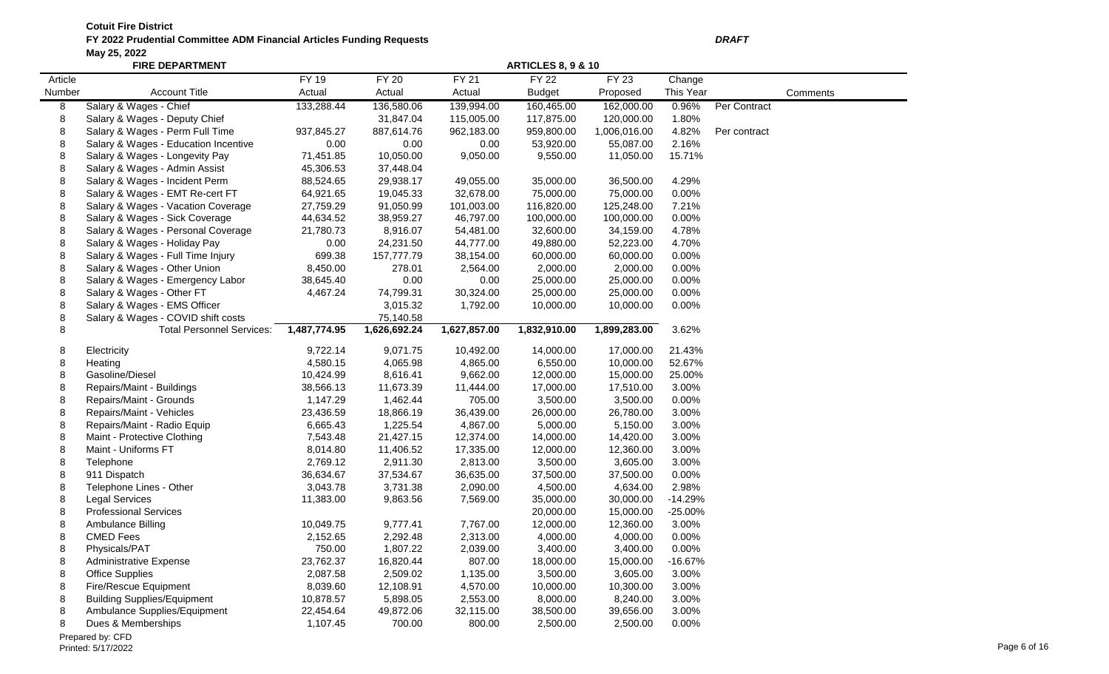|         | <b>FIRE DEPARTMENT</b>               |              | <b>ARTICLES 8, 9 &amp; 10</b> |              |               |              |           |              |          |  |  |  |
|---------|--------------------------------------|--------------|-------------------------------|--------------|---------------|--------------|-----------|--------------|----------|--|--|--|
| Article |                                      | FY 19        | FY 20                         | FY 21        | <b>FY 22</b>  | FY 23        | Change    |              |          |  |  |  |
| Number  | <b>Account Title</b>                 | Actual       | Actual                        | Actual       | <b>Budget</b> | Proposed     | This Year |              | Comments |  |  |  |
| 8       | Salary & Wages - Chief               | 133,288.44   | 136,580.06                    | 139,994.00   | 160,465.00    | 162,000.00   | 0.96%     | Per Contract |          |  |  |  |
| 8       | Salary & Wages - Deputy Chief        |              | 31,847.04                     | 115,005.00   | 117,875.00    | 120,000.00   | 1.80%     |              |          |  |  |  |
| 8       | Salary & Wages - Perm Full Time      | 937,845.27   | 887,614.76                    | 962,183.00   | 959,800.00    | 1,006,016.00 | 4.82%     | Per contract |          |  |  |  |
| 8       | Salary & Wages - Education Incentive | 0.00         | 0.00                          | 0.00         | 53,920.00     | 55,087.00    | 2.16%     |              |          |  |  |  |
| 8       | Salary & Wages - Longevity Pay       | 71,451.85    | 10,050.00                     | 9,050.00     | 9,550.00      | 11,050.00    | 15.71%    |              |          |  |  |  |
| 8       | Salary & Wages - Admin Assist        | 45,306.53    | 37,448.04                     |              |               |              |           |              |          |  |  |  |
| 8       | Salary & Wages - Incident Perm       | 88,524.65    | 29,938.17                     | 49,055.00    | 35,000.00     | 36,500.00    | 4.29%     |              |          |  |  |  |
| 8       | Salary & Wages - EMT Re-cert FT      | 64,921.65    | 19,045.33                     | 32,678.00    | 75,000.00     | 75,000.00    | 0.00%     |              |          |  |  |  |
| 8       | Salary & Wages - Vacation Coverage   | 27,759.29    | 91,050.99                     | 101,003.00   | 116,820.00    | 125,248.00   | 7.21%     |              |          |  |  |  |
| 8       | Salary & Wages - Sick Coverage       | 44,634.52    | 38,959.27                     | 46,797.00    | 100,000.00    | 100,000.00   | 0.00%     |              |          |  |  |  |
| 8       | Salary & Wages - Personal Coverage   | 21,780.73    | 8,916.07                      | 54,481.00    | 32,600.00     | 34,159.00    | 4.78%     |              |          |  |  |  |
| 8       | Salary & Wages - Holiday Pay         | 0.00         | 24,231.50                     | 44,777.00    | 49,880.00     | 52,223.00    | 4.70%     |              |          |  |  |  |
| 8       | Salary & Wages - Full Time Injury    | 699.38       | 157,777.79                    | 38,154.00    | 60,000.00     | 60,000.00    | 0.00%     |              |          |  |  |  |
| 8       | Salary & Wages - Other Union         | 8,450.00     | 278.01                        | 2,564.00     | 2,000.00      | 2,000.00     | 0.00%     |              |          |  |  |  |
| 8       | Salary & Wages - Emergency Labor     | 38,645.40    | 0.00                          | 0.00         | 25,000.00     | 25,000.00    | 0.00%     |              |          |  |  |  |
| 8       | Salary & Wages - Other FT            | 4,467.24     | 74,799.31                     | 30,324.00    | 25,000.00     | 25,000.00    | 0.00%     |              |          |  |  |  |
| 8       | Salary & Wages - EMS Officer         |              | 3,015.32                      | 1,792.00     | 10,000.00     | 10,000.00    | 0.00%     |              |          |  |  |  |
| 8       | Salary & Wages - COVID shift costs   |              | 75,140.58                     |              |               |              |           |              |          |  |  |  |
| 8       | <b>Total Personnel Services:</b>     | 1,487,774.95 | 1,626,692.24                  | 1,627,857.00 | 1,832,910.00  | 1,899,283.00 | 3.62%     |              |          |  |  |  |
| 8       | Electricity                          | 9,722.14     | 9,071.75                      | 10,492.00    | 14,000.00     | 17,000.00    | 21.43%    |              |          |  |  |  |
| 8       | Heating                              | 4,580.15     | 4,065.98                      | 4,865.00     | 6,550.00      | 10,000.00    | 52.67%    |              |          |  |  |  |
| 8       | Gasoline/Diesel                      | 10,424.99    | 8,616.41                      | 9,662.00     | 12,000.00     | 15,000.00    | 25.00%    |              |          |  |  |  |
| 8       | Repairs/Maint - Buildings            | 38,566.13    | 11,673.39                     | 11,444.00    | 17,000.00     | 17,510.00    | 3.00%     |              |          |  |  |  |
| 8       | Repairs/Maint - Grounds              | 1,147.29     | 1,462.44                      | 705.00       | 3,500.00      | 3,500.00     | 0.00%     |              |          |  |  |  |
| 8       | Repairs/Maint - Vehicles             | 23,436.59    | 18,866.19                     | 36,439.00    | 26,000.00     | 26,780.00    | 3.00%     |              |          |  |  |  |
| 8       | Repairs/Maint - Radio Equip          | 6,665.43     | 1,225.54                      | 4,867.00     | 5,000.00      | 5,150.00     | 3.00%     |              |          |  |  |  |
| 8       | Maint - Protective Clothing          | 7,543.48     | 21,427.15                     | 12,374.00    | 14,000.00     | 14,420.00    | 3.00%     |              |          |  |  |  |
| 8       | Maint - Uniforms FT                  | 8,014.80     | 11,406.52                     | 17,335.00    | 12,000.00     | 12,360.00    | 3.00%     |              |          |  |  |  |
| 8       | Telephone                            | 2,769.12     | 2,911.30                      | 2,813.00     | 3,500.00      | 3,605.00     | 3.00%     |              |          |  |  |  |
| 8       | 911 Dispatch                         | 36,634.67    | 37,534.67                     | 36,635.00    | 37,500.00     | 37,500.00    | 0.00%     |              |          |  |  |  |
| 8       | Telephone Lines - Other              | 3,043.78     | 3,731.38                      | 2,090.00     | 4,500.00      | 4,634.00     | 2.98%     |              |          |  |  |  |
| 8       | <b>Legal Services</b>                | 11,383.00    | 9,863.56                      | 7,569.00     | 35,000.00     | 30,000.00    | $-14.29%$ |              |          |  |  |  |
| 8       | <b>Professional Services</b>         |              |                               |              | 20,000.00     | 15,000.00    | $-25.00%$ |              |          |  |  |  |
| 8       | Ambulance Billing                    | 10,049.75    | 9,777.41                      | 7,767.00     | 12,000.00     | 12,360.00    | 3.00%     |              |          |  |  |  |
| 8       | <b>CMED Fees</b>                     | 2,152.65     | 2,292.48                      | 2,313.00     | 4,000.00      | 4,000.00     | 0.00%     |              |          |  |  |  |
| 8       | Physicals/PAT                        | 750.00       | 1,807.22                      | 2,039.00     | 3,400.00      | 3,400.00     | 0.00%     |              |          |  |  |  |
| 8       | <b>Administrative Expense</b>        | 23,762.37    | 16,820.44                     | 807.00       | 18,000.00     | 15,000.00    | $-16.67%$ |              |          |  |  |  |
| 8       | <b>Office Supplies</b>               | 2,087.58     | 2,509.02                      | 1,135.00     | 3,500.00      | 3,605.00     | 3.00%     |              |          |  |  |  |
| 8       | Fire/Rescue Equipment                | 8,039.60     | 12,108.91                     | 4,570.00     | 10,000.00     | 10,300.00    | 3.00%     |              |          |  |  |  |
| 8       | <b>Building Supplies/Equipment</b>   | 10,878.57    | 5,898.05                      | 2,553.00     | 8,000.00      | 8,240.00     | 3.00%     |              |          |  |  |  |
| 8       | Ambulance Supplies/Equipment         | 22,454.64    | 49,872.06                     | 32,115.00    | 38,500.00     | 39,656.00    | 3.00%     |              |          |  |  |  |
| 8       | Dues & Memberships                   | 1,107.45     | 700.00                        | 800.00       | 2,500.00      | 2,500.00     | 0.00%     |              |          |  |  |  |
|         | Prenared by: CED                     |              |                               |              |               |              |           |              |          |  |  |  |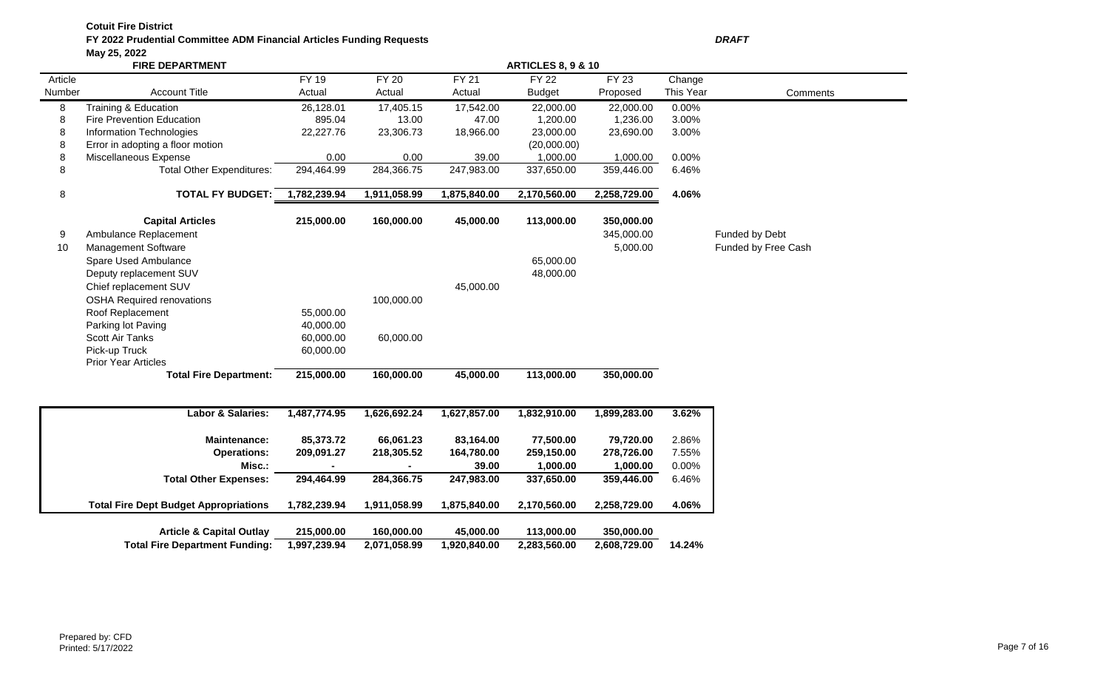|         | <b>FIRE DEPARTMENT</b>                       | <b>ARTICLES 8, 9 &amp; 10</b> |              |              |               |              |           |                     |  |  |  |
|---------|----------------------------------------------|-------------------------------|--------------|--------------|---------------|--------------|-----------|---------------------|--|--|--|
| Article |                                              | <b>FY 19</b>                  | <b>FY 20</b> | <b>FY 21</b> | <b>FY 22</b>  | FY 23        | Change    |                     |  |  |  |
| Number  | <b>Account Title</b>                         | Actual                        | Actual       | Actual       | <b>Budget</b> | Proposed     | This Year | Comments            |  |  |  |
| 8       | Training & Education                         | 26,128.01                     | 17,405.15    | 17,542.00    | 22,000.00     | 22,000.00    | 0.00%     |                     |  |  |  |
| 8       | <b>Fire Prevention Education</b>             | 895.04                        | 13.00        | 47.00        | 1,200.00      | 1,236.00     | 3.00%     |                     |  |  |  |
| 8       | Information Technologies                     | 22,227.76                     | 23,306.73    | 18,966.00    | 23,000.00     | 23,690.00    | 3.00%     |                     |  |  |  |
| 8       | Error in adopting a floor motion             |                               |              |              | (20,000.00)   |              |           |                     |  |  |  |
| 8       | Miscellaneous Expense                        | 0.00                          | 0.00         | 39.00        | 1,000.00      | 1,000.00     | 0.00%     |                     |  |  |  |
| 8       | <b>Total Other Expenditures:</b>             | 294,464.99                    | 284,366.75   | 247,983.00   | 337,650.00    | 359,446.00   | 6.46%     |                     |  |  |  |
| 8       | <b>TOTAL FY BUDGET:</b>                      | 1,782,239.94                  | 1,911,058.99 | 1,875,840.00 | 2,170,560.00  | 2,258,729.00 | 4.06%     |                     |  |  |  |
|         | <b>Capital Articles</b>                      | 215,000.00                    | 160,000.00   | 45,000.00    | 113,000.00    | 350,000.00   |           |                     |  |  |  |
| 9       | Ambulance Replacement                        |                               |              |              |               | 345,000.00   |           | Funded by Debt      |  |  |  |
| 10      | Management Software                          |                               |              |              |               | 5,000.00     |           | Funded by Free Cash |  |  |  |
|         | Spare Used Ambulance                         |                               |              |              | 65,000.00     |              |           |                     |  |  |  |
|         | Deputy replacement SUV                       |                               |              |              | 48,000.00     |              |           |                     |  |  |  |
|         | Chief replacement SUV                        |                               |              | 45,000.00    |               |              |           |                     |  |  |  |
|         | <b>OSHA Required renovations</b>             |                               | 100,000.00   |              |               |              |           |                     |  |  |  |
|         | Roof Replacement                             | 55,000.00                     |              |              |               |              |           |                     |  |  |  |
|         | Parking lot Paving                           | 40,000.00                     |              |              |               |              |           |                     |  |  |  |
|         | Scott Air Tanks                              | 60,000.00                     | 60,000.00    |              |               |              |           |                     |  |  |  |
|         | Pick-up Truck                                | 60,000.00                     |              |              |               |              |           |                     |  |  |  |
|         | <b>Prior Year Articles</b>                   |                               |              |              |               |              |           |                     |  |  |  |
|         | <b>Total Fire Department:</b>                | 215,000.00                    | 160,000.00   | 45,000.00    | 113,000.00    | 350,000.00   |           |                     |  |  |  |
|         | <b>Labor &amp; Salaries:</b>                 | 1,487,774.95                  | 1,626,692.24 | 1,627,857.00 | 1,832,910.00  | 1,899,283.00 | 3.62%     |                     |  |  |  |
|         | <b>Maintenance:</b>                          | 85,373.72                     | 66,061.23    | 83,164.00    | 77,500.00     | 79,720.00    | 2.86%     |                     |  |  |  |
|         | <b>Operations:</b>                           | 209,091.27                    | 218,305.52   | 164,780.00   | 259,150.00    | 278,726.00   | 7.55%     |                     |  |  |  |
|         | Misc.:                                       |                               |              | 39.00        | 1,000.00      | 1,000.00     | 0.00%     |                     |  |  |  |
|         | <b>Total Other Expenses:</b>                 | 294,464.99                    | 284,366.75   | 247,983.00   | 337,650.00    | 359,446.00   | 6.46%     |                     |  |  |  |
|         | <b>Total Fire Dept Budget Appropriations</b> | 1,782,239.94                  | 1,911,058.99 | 1,875,840.00 | 2,170,560.00  | 2,258,729.00 | 4.06%     |                     |  |  |  |
|         |                                              |                               |              |              |               |              |           |                     |  |  |  |

| <b>Article &amp; Capital Outlay</b>         | 215,000.00 | 160.000.00   | 45,000,00    | 113.000.00   | 350.000.00   |        |
|---------------------------------------------|------------|--------------|--------------|--------------|--------------|--------|
| Total Fire Department Funding: 1,997,239.94 |            | 2,071,058.99 | 1,920,840.00 | 2,283,560.00 | 2,608,729.00 | 14.24% |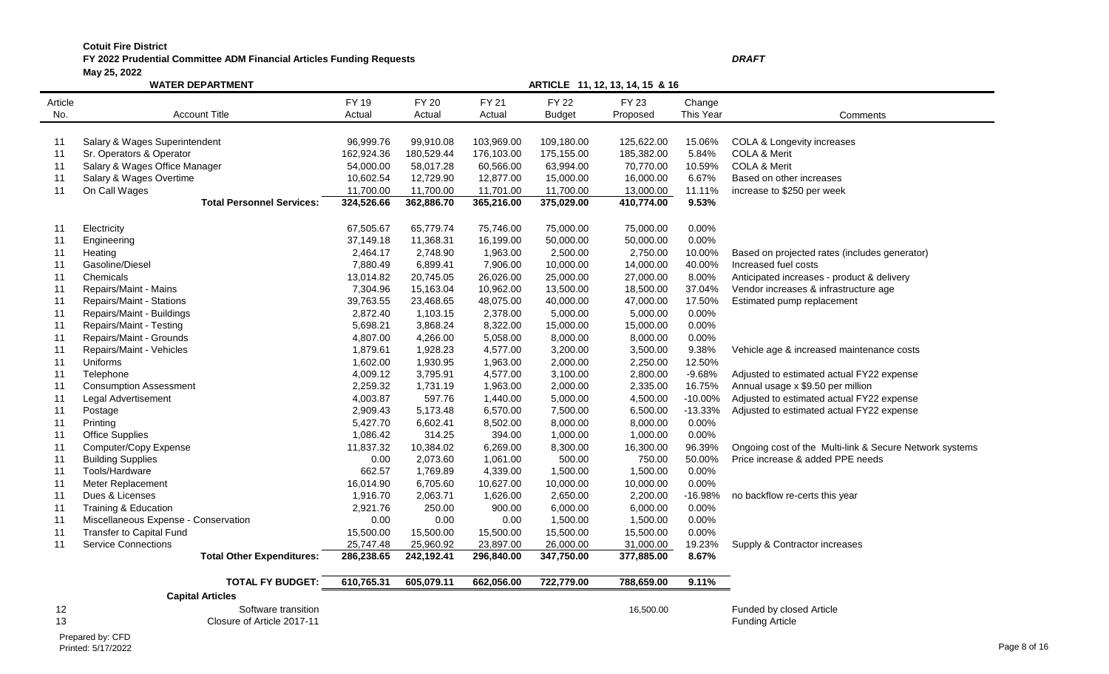# **FY 2022 Prudential Committee ADM Financial Articles Funding Requests** *DRAFT*

**May 25, 2022**

|         | <b>WATER DEPARTMENT</b>              | ARTICLE 11, 12, 13, 14, 15 & 16 |              |            |               |              |           |                                                         |  |  |
|---------|--------------------------------------|---------------------------------|--------------|------------|---------------|--------------|-----------|---------------------------------------------------------|--|--|
| Article |                                      | <b>FY 19</b>                    | <b>FY 20</b> | FY 21      | <b>FY 22</b>  | <b>FY 23</b> | Change    |                                                         |  |  |
| No.     | <b>Account Title</b>                 | Actual                          | Actual       | Actual     | <b>Budget</b> | Proposed     | This Year | Comments                                                |  |  |
|         |                                      |                                 |              |            |               |              |           |                                                         |  |  |
| 11      | Salary & Wages Superintendent        | 96,999.76                       | 99,910.08    | 103,969.00 | 109,180.00    | 125,622.00   | 15.06%    | COLA & Longevity increases                              |  |  |
| 11      | Sr. Operators & Operator             | 162,924.36                      | 180,529.44   | 176,103.00 | 175,155.00    | 185,382.00   | 5.84%     | COLA & Merit                                            |  |  |
| 11      | Salary & Wages Office Manager        | 54,000.00                       | 58,017.28    | 60,566.00  | 63,994.00     | 70,770.00    | 10.59%    | <b>COLA &amp; Merit</b>                                 |  |  |
| 11      | Salary & Wages Overtime              | 10,602.54                       | 12,729.90    | 12,877.00  | 15,000.00     | 16,000.00    | 6.67%     | Based on other increases                                |  |  |
| 11      | On Call Wages                        | 11,700.00                       | 11,700.00    | 11,701.00  | 11,700.00     | 13,000.00    | 11.11%    | increase to \$250 per week                              |  |  |
|         | <b>Total Personnel Services:</b>     | 324,526.66                      | 362,886.70   | 365,216.00 | 375,029.00    | 410,774.00   | 9.53%     |                                                         |  |  |
|         |                                      |                                 |              |            |               |              |           |                                                         |  |  |
| 11      | Electricity                          | 67,505.67                       | 65,779.74    | 75,746.00  | 75,000.00     | 75,000.00    | 0.00%     |                                                         |  |  |
| 11      | Engineering                          | 37,149.18                       | 11,368.31    | 16,199.00  | 50,000.00     | 50,000.00    | 0.00%     |                                                         |  |  |
| 11      | Heating                              | 2,464.17                        | 2,748.90     | 1,963.00   | 2,500.00      | 2,750.00     | 10.00%    | Based on projected rates (includes generator)           |  |  |
| 11      | Gasoline/Diesel                      | 7,880.49                        | 6,899.41     | 7,906.00   | 10,000.00     | 14,000.00    | 40.00%    | Increased fuel costs                                    |  |  |
| 11      | Chemicals                            | 13,014.82                       | 20,745.05    | 26,026.00  | 25,000.00     | 27,000.00    | 8.00%     | Anticipated increases - product & delivery              |  |  |
| 11      | Repairs/Maint - Mains                | 7,304.96                        | 15,163.04    | 10,962.00  | 13,500.00     | 18,500.00    | 37.04%    | Vendor increases & infrastructure age                   |  |  |
| 11      | Repairs/Maint - Stations             | 39,763.55                       | 23,468.65    | 48,075.00  | 40,000.00     | 47,000.00    | 17.50%    | Estimated pump replacement                              |  |  |
| 11      | Repairs/Maint - Buildings            | 2,872.40                        | 1,103.15     | 2,378.00   | 5,000.00      | 5,000.00     | 0.00%     |                                                         |  |  |
| 11      | Repairs/Maint - Testing              | 5,698.21                        | 3,868.24     | 8,322.00   | 15,000.00     | 15,000.00    | 0.00%     |                                                         |  |  |
| 11      | Repairs/Maint - Grounds              | 4,807.00                        | 4,266.00     | 5,058.00   | 8,000.00      | 8,000.00     | 0.00%     |                                                         |  |  |
| 11      | Repairs/Maint - Vehicles             | 1,879.61                        | 1,928.23     | 4,577.00   | 3,200.00      | 3,500.00     | 9.38%     | Vehicle age & increased maintenance costs               |  |  |
| 11      | Uniforms                             | 1,602.00                        | 1,930.95     | 1,963.00   | 2,000.00      | 2,250.00     | 12.50%    |                                                         |  |  |
| 11      | Telephone                            | 4,009.12                        | 3,795.91     | 4,577.00   | 3,100.00      | 2,800.00     | $-9.68%$  | Adjusted to estimated actual FY22 expense               |  |  |
| 11      | <b>Consumption Assessment</b>        | 2,259.32                        | 1,731.19     | 1,963.00   | 2,000.00      | 2,335.00     | 16.75%    | Annual usage x \$9.50 per million                       |  |  |
| 11      | Legal Advertisement                  | 4,003.87                        | 597.76       | 1,440.00   | 5,000.00      | 4,500.00     | $-10.00%$ | Adjusted to estimated actual FY22 expense               |  |  |
| 11      | Postage                              | 2,909.43                        | 5,173.48     | 6,570.00   | 7,500.00      | 6,500.00     | $-13.33%$ | Adjusted to estimated actual FY22 expense               |  |  |
| 11      | Printing                             | 5,427.70                        | 6,602.41     | 8,502.00   | 8,000.00      | 8,000.00     | 0.00%     |                                                         |  |  |
| 11      | <b>Office Supplies</b>               | 1,086.42                        | 314.25       | 394.00     | 1,000.00      | 1,000.00     | 0.00%     |                                                         |  |  |
| 11      | Computer/Copy Expense                | 11,837.32                       | 10,384.02    | 6,269.00   | 8,300.00      | 16,300.00    | 96.39%    | Ongoing cost of the Multi-link & Secure Network systems |  |  |
| 11      | <b>Building Supplies</b>             | 0.00                            | 2,073.60     | 1,061.00   | 500.00        | 750.00       | 50.00%    | Price increase & added PPE needs                        |  |  |
| 11      | Tools/Hardware                       | 662.57                          | 1,769.89     | 4,339.00   | 1,500.00      | 1,500.00     | 0.00%     |                                                         |  |  |
| 11      | Meter Replacement                    | 16,014.90                       | 6,705.60     | 10,627.00  | 10,000.00     | 10,000.00    | 0.00%     |                                                         |  |  |
| 11      | Dues & Licenses                      | 1,916.70                        | 2,063.71     | 1,626.00   | 2,650.00      | 2,200.00     | $-16.98%$ | no backflow re-certs this year                          |  |  |
| 11      | Training & Education                 | 2,921.76                        | 250.00       | 900.00     | 6,000.00      | 6,000.00     | 0.00%     |                                                         |  |  |
| 11      | Miscellaneous Expense - Conservation | 0.00                            | 0.00         | 0.00       | 1,500.00      | 1,500.00     | 0.00%     |                                                         |  |  |
| 11      | <b>Transfer to Capital Fund</b>      | 15,500.00                       | 15,500.00    | 15,500.00  | 15,500.00     | 15,500.00    | 0.00%     |                                                         |  |  |
| 11      | <b>Service Connections</b>           | 25,747.48                       | 25,960.92    | 23,897.00  | 26,000.00     | 31,000.00    | 19.23%    | Supply & Contractor increases                           |  |  |
|         | <b>Total Other Expenditures:</b>     | 286,238.65                      | 242,192.41   | 296,840.00 | 347,750.00    | 377,885.00   | 8.67%     |                                                         |  |  |
|         | <b>TOTAL FY BUDGET:</b>              | 610,765.31                      | 605,079.11   | 662,056.00 | 722,779.00    | 788,659.00   | 9.11%     |                                                         |  |  |
|         | <b>Capital Articles</b>              |                                 |              |            |               |              |           |                                                         |  |  |
| 12      | Software transition                  |                                 |              |            |               | 16,500.00    |           | Funded by closed Article                                |  |  |
| 13      | Closure of Article 2017-11           |                                 |              |            |               |              |           | <b>Funding Article</b>                                  |  |  |
|         |                                      |                                 |              |            |               |              |           |                                                         |  |  |

Prepared by: CFD<br>Printed: 5/17/2022 Printed: 5/17/2022 Page 8 of 16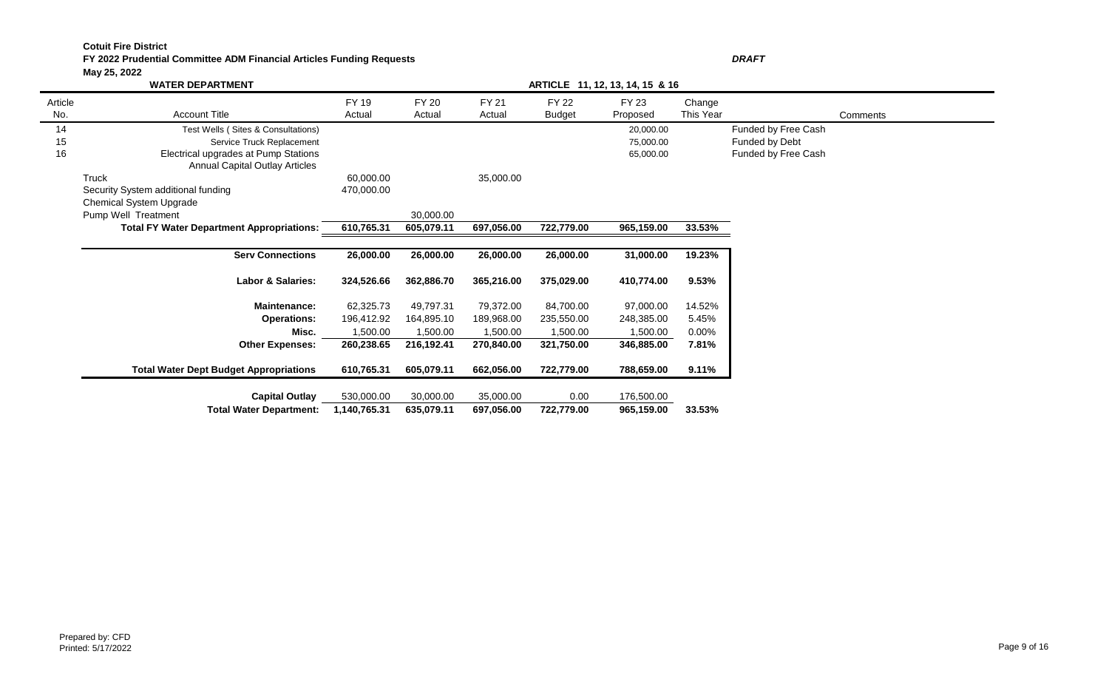#### **FY 2022 Prudential Committee ADM Financial Articles Funding Requests** *DRAFT* **May 25, 2022**

|                | $$ , $-$ , $-$<br><b>WATER DEPARTMENT</b>                                     |                 |                 |                 |                        |                   |                     |                     |          |  |
|----------------|-------------------------------------------------------------------------------|-----------------|-----------------|-----------------|------------------------|-------------------|---------------------|---------------------|----------|--|
| Article<br>No. | <b>Account Title</b>                                                          | FY 19<br>Actual | FY 20<br>Actual | FY 21<br>Actual | <b>FY 22</b><br>Budget | FY 23<br>Proposed | Change<br>This Year |                     | Comments |  |
| 14             | Test Wells (Sites & Consultations)                                            |                 |                 |                 |                        | 20,000.00         |                     | Funded by Free Cash |          |  |
| 15             | Service Truck Replacement                                                     |                 |                 |                 |                        | 75,000.00         |                     | Funded by Debt      |          |  |
| 16             | Electrical upgrades at Pump Stations<br><b>Annual Capital Outlay Articles</b> |                 |                 |                 |                        | 65,000.00         |                     | Funded by Free Cash |          |  |
|                | Truck                                                                         | 60,000.00       |                 | 35,000.00       |                        |                   |                     |                     |          |  |
|                | Security System additional funding                                            | 470,000.00      |                 |                 |                        |                   |                     |                     |          |  |
|                | <b>Chemical System Upgrade</b>                                                |                 |                 |                 |                        |                   |                     |                     |          |  |
|                | Pump Well Treatment                                                           |                 | 30,000.00       |                 |                        |                   |                     |                     |          |  |
|                | <b>Total FY Water Department Appropriations:</b>                              | 610,765.31      | 605,079.11      | 697,056.00      | 722,779.00             | 965,159.00        | 33.53%              |                     |          |  |
|                |                                                                               |                 |                 |                 |                        |                   |                     |                     |          |  |
|                | <b>Serv Connections</b>                                                       | 26,000.00       | 26,000.00       | 26,000.00       | 26,000.00              | 31,000.00         | 19.23%              |                     |          |  |
|                | <b>Labor &amp; Salaries:</b>                                                  | 324,526.66      | 362,886.70      | 365,216.00      | 375,029.00             | 410,774.00        | 9.53%               |                     |          |  |
|                | <b>Maintenance:</b>                                                           | 62,325.73       | 49,797.31       | 79,372.00       | 84,700.00              | 97,000.00         | 14.52%              |                     |          |  |
|                | <b>Operations:</b>                                                            | 196,412.92      | 164,895.10      | 189,968.00      | 235,550.00             | 248,385.00        | 5.45%               |                     |          |  |
|                | Misc.                                                                         | 1,500.00        | 1,500.00        | 1,500.00        | 1,500.00               | 1,500.00          | $0.00\%$            |                     |          |  |
|                | <b>Other Expenses:</b>                                                        | 260,238.65      | 216,192.41      | 270,840.00      | 321,750.00             | 346,885.00        | 7.81%               |                     |          |  |
|                | <b>Total Water Dept Budget Appropriations</b>                                 | 610,765.31      | 605,079.11      | 662,056.00      | 722,779.00             | 788,659.00        | 9.11%               |                     |          |  |
|                | <b>Capital Outlay</b>                                                         | 530,000.00      | 30,000.00       | 35,000.00       | 0.00                   | 176,500.00        |                     |                     |          |  |
|                | <b>Total Water Department:</b>                                                | 1,140,765.31    | 635,079.11      | 697,056.00      | 722,779.00             | 965,159.00        | 33.53%              |                     |          |  |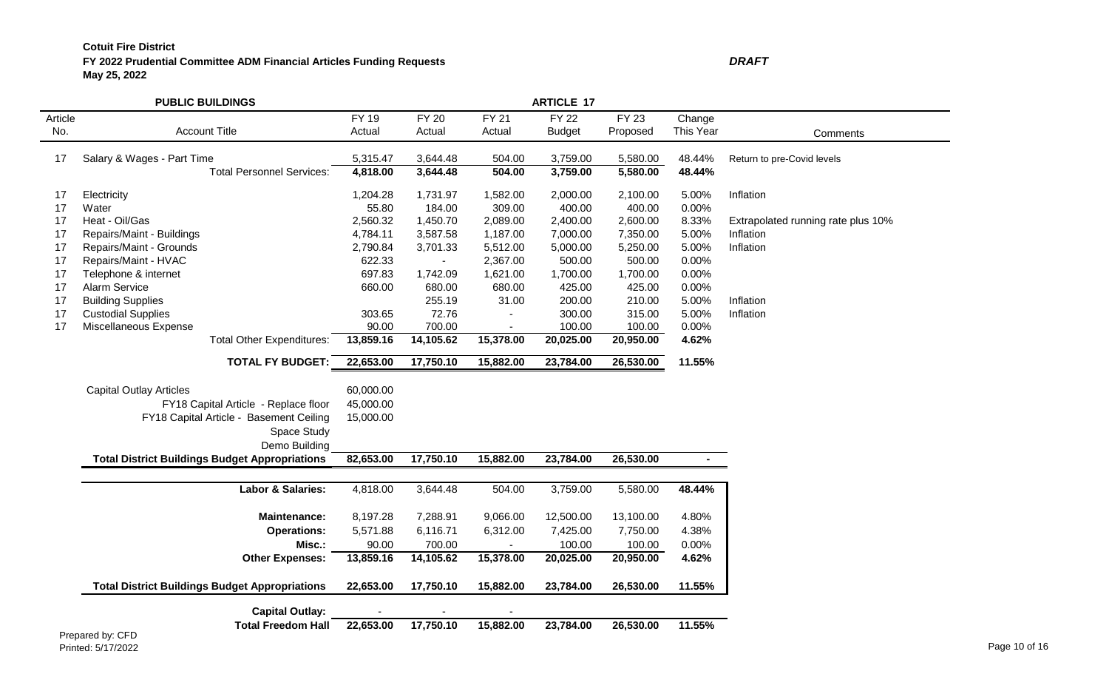# **FY 2022 Prudential Committee ADM Financial Articles Funding Requests May 25, 2022**

|         | <b>PUBLIC BUILDINGS</b>                                                         |           |                | <b>ARTICLE 17</b>        |               |           |           |                                    |
|---------|---------------------------------------------------------------------------------|-----------|----------------|--------------------------|---------------|-----------|-----------|------------------------------------|
| Article |                                                                                 | FY 19     | <b>FY 20</b>   | <b>FY 21</b>             | <b>FY 22</b>  | FY 23     | Change    |                                    |
| No.     | <b>Account Title</b>                                                            | Actual    | Actual         | Actual                   | <b>Budget</b> | Proposed  | This Year | Comments                           |
| 17      | Salary & Wages - Part Time                                                      | 5,315.47  | 3,644.48       | 504.00                   | 3,759.00      | 5,580.00  | 48.44%    | Return to pre-Covid levels         |
|         | <b>Total Personnel Services:</b>                                                | 4,818.00  | 3,644.48       | 504.00                   | 3,759.00      | 5,580.00  | 48.44%    |                                    |
| 17      | Electricity                                                                     | 1,204.28  | 1,731.97       | 1,582.00                 | 2,000.00      | 2,100.00  | 5.00%     | Inflation                          |
| 17      | Water                                                                           | 55.80     | 184.00         | 309.00                   | 400.00        | 400.00    | 0.00%     |                                    |
| 17      | Heat - Oil/Gas                                                                  | 2,560.32  | 1,450.70       | 2,089.00                 | 2,400.00      | 2,600.00  | 8.33%     | Extrapolated running rate plus 10% |
| 17      | Repairs/Maint - Buildings                                                       | 4,784.11  | 3,587.58       | 1,187.00                 | 7,000.00      | 7,350.00  | 5.00%     | Inflation                          |
| 17      | Repairs/Maint - Grounds                                                         | 2,790.84  | 3,701.33       | 5,512.00                 | 5,000.00      | 5,250.00  | 5.00%     | Inflation                          |
| 17      | Repairs/Maint - HVAC                                                            | 622.33    | $\blacksquare$ | 2,367.00                 | 500.00        | 500.00    | 0.00%     |                                    |
| 17      | Telephone & internet                                                            | 697.83    | 1,742.09       | 1,621.00                 | 1,700.00      | 1,700.00  | 0.00%     |                                    |
| 17      | Alarm Service                                                                   | 660.00    | 680.00         | 680.00                   | 425.00        | 425.00    | 0.00%     |                                    |
| 17      | <b>Building Supplies</b>                                                        |           | 255.19         | 31.00                    | 200.00        | 210.00    | 5.00%     | Inflation                          |
| 17      | <b>Custodial Supplies</b>                                                       | 303.65    | 72.76          |                          | 300.00        | 315.00    | 5.00%     | Inflation                          |
| 17      | Miscellaneous Expense                                                           | 90.00     | 700.00         |                          | 100.00        | 100.00    | 0.00%     |                                    |
|         | <b>Total Other Expenditures:</b>                                                | 13,859.16 | 14,105.62      | 15,378.00                | 20,025.00     | 20,950.00 | 4.62%     |                                    |
|         | <b>TOTAL FY BUDGET:</b>                                                         | 22,653.00 | 17,750.10      | 15,882.00                | 23,784.00     | 26,530.00 | 11.55%    |                                    |
|         | <b>Capital Outlay Articles</b>                                                  | 60,000.00 |                |                          |               |           |           |                                    |
|         |                                                                                 | 45,000.00 |                |                          |               |           |           |                                    |
|         | FY18 Capital Article - Replace floor<br>FY18 Capital Article - Basement Ceiling | 15,000.00 |                |                          |               |           |           |                                    |
|         |                                                                                 |           |                |                          |               |           |           |                                    |
|         | Space Study                                                                     |           |                |                          |               |           |           |                                    |
|         | Demo Building                                                                   |           |                |                          |               |           |           |                                    |
|         | <b>Total District Buildings Budget Appropriations</b>                           | 82,653.00 | 17,750.10      | 15,882.00                | 23,784.00     | 26,530.00 | $\sim$    |                                    |
|         | Labor & Salaries:                                                               | 4,818.00  | 3,644.48       | 504.00                   | 3,759.00      | 5,580.00  | 48.44%    |                                    |
|         | Maintenance:                                                                    | 8,197.28  | 7,288.91       | 9,066.00                 | 12,500.00     | 13,100.00 | 4.80%     |                                    |
|         | <b>Operations:</b>                                                              | 5,571.88  | 6,116.71       | 6,312.00                 | 7,425.00      | 7,750.00  | 4.38%     |                                    |
|         | Misc.:                                                                          | 90.00     | 700.00         | $\overline{\phantom{a}}$ | 100.00        | 100.00    | 0.00%     |                                    |
|         | <b>Other Expenses:</b>                                                          | 13,859.16 | 14,105.62      | 15,378.00                | 20,025.00     | 20,950.00 | 4.62%     |                                    |
|         |                                                                                 |           |                |                          |               |           |           |                                    |
|         | <b>Total District Buildings Budget Appropriations</b>                           | 22,653.00 | 17,750.10      | 15,882.00                | 23,784.00     | 26,530.00 | 11.55%    |                                    |
|         | <b>Capital Outlay:</b>                                                          |           |                |                          |               |           |           |                                    |
|         | <b>Total Freedom Hall</b><br>$\sim$ $-$                                         | 22,653.00 | 17,750.10      | 15,882.00                | 23,784.00     | 26,530.00 | 11.55%    |                                    |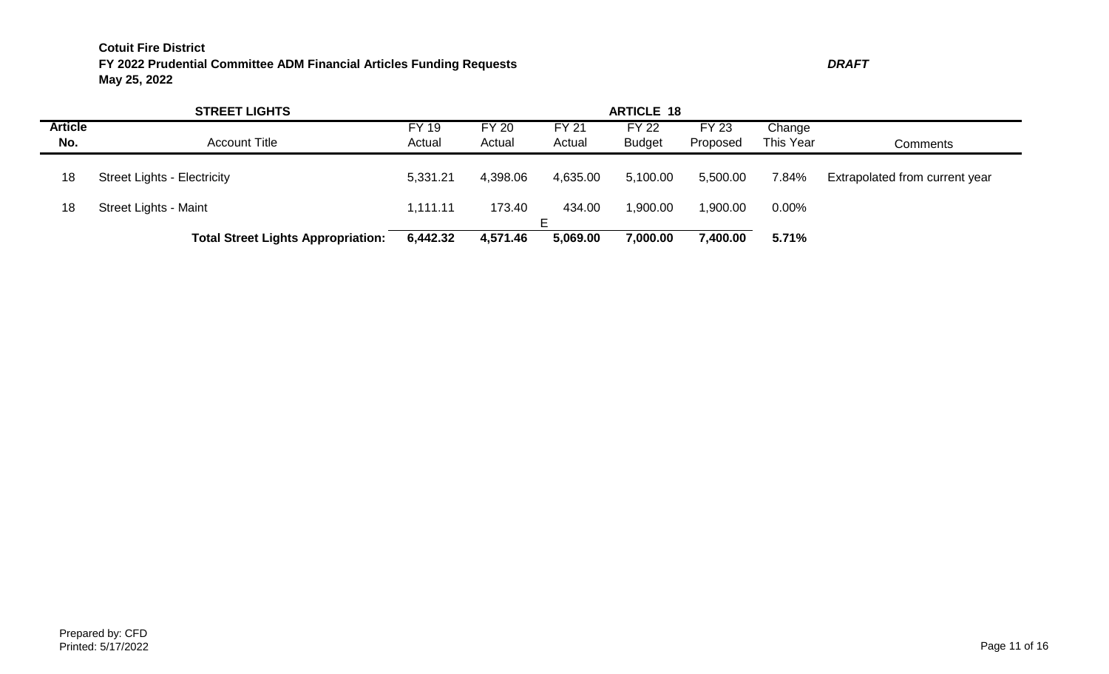|                | <b>STREET LIGHTS</b>                      |              |              |              |               |              |           |                                |
|----------------|-------------------------------------------|--------------|--------------|--------------|---------------|--------------|-----------|--------------------------------|
| <b>Article</b> |                                           | <b>FY 19</b> | <b>FY 20</b> | <b>FY 21</b> | <b>FY 22</b>  | <b>FY 23</b> | Change    |                                |
| No.            | <b>Account Title</b>                      | Actual       | Actual       | Actual       | <b>Budget</b> | Proposed     | This Year | Comments                       |
|                |                                           |              |              |              |               |              |           |                                |
| 18             | <b>Street Lights - Electricity</b>        | 5,331.21     | 4,398.06     | 4,635.00     | 5,100.00      | 5,500.00     | 7.84%     | Extrapolated from current year |
|                |                                           |              |              |              |               |              |           |                                |
| 18             | <b>Street Lights - Maint</b>              | 1,111.11     | 173.40       | 434.00       | 1,900.00      | 1,900.00     | 0.00%     |                                |
|                | <b>Total Street Lights Appropriation:</b> | 6,442.32     | 4,571.46     | 5,069.00     | 7,000.00      | 7,400.00     | 5.71%     |                                |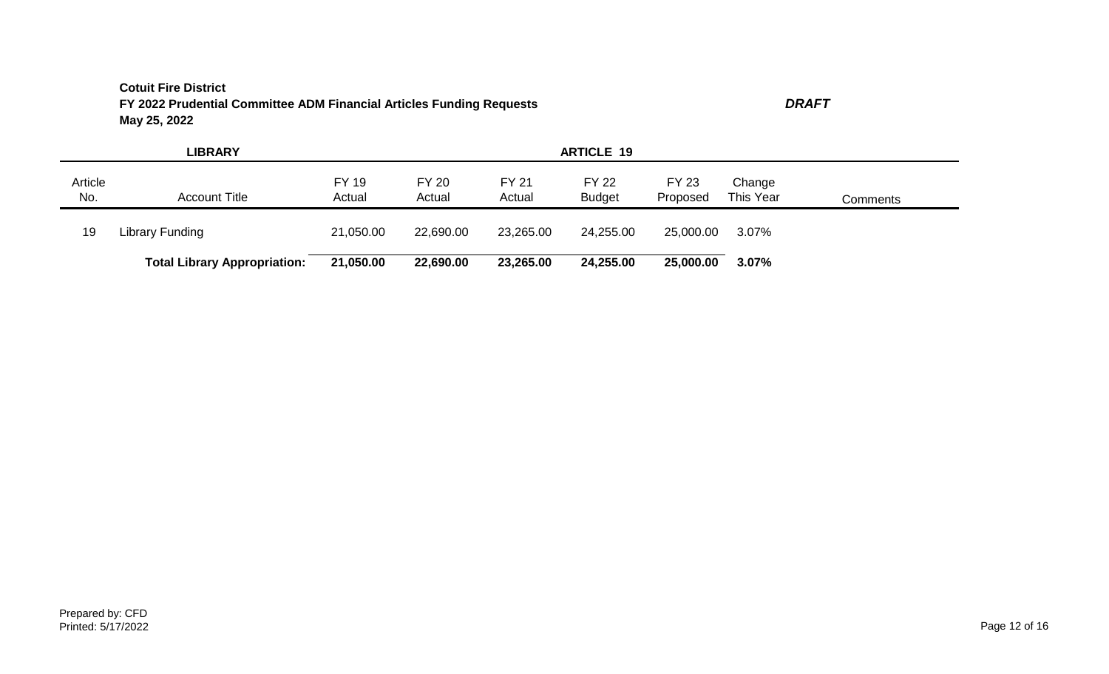|                | <b>LIBRARY</b>                      |                        |                        |                        | <b>ARTICLE 19</b>             |                          |                     |          |
|----------------|-------------------------------------|------------------------|------------------------|------------------------|-------------------------------|--------------------------|---------------------|----------|
| Article<br>No. | <b>Account Title</b>                | <b>FY 19</b><br>Actual | <b>FY 20</b><br>Actual | <b>FY 21</b><br>Actual | <b>FY 22</b><br><b>Budget</b> | <b>FY 23</b><br>Proposed | Change<br>This Year | Comments |
| 19             | Library Funding                     | 21,050.00              | 22,690.00              | 23,265.00              | 24,255.00                     | 25,000.00                | 3.07%               |          |
|                | <b>Total Library Appropriation:</b> | 21,050.00              | 22,690.00              | 23,265.00              | 24,255.00                     | 25,000.00                | 3.07%               |          |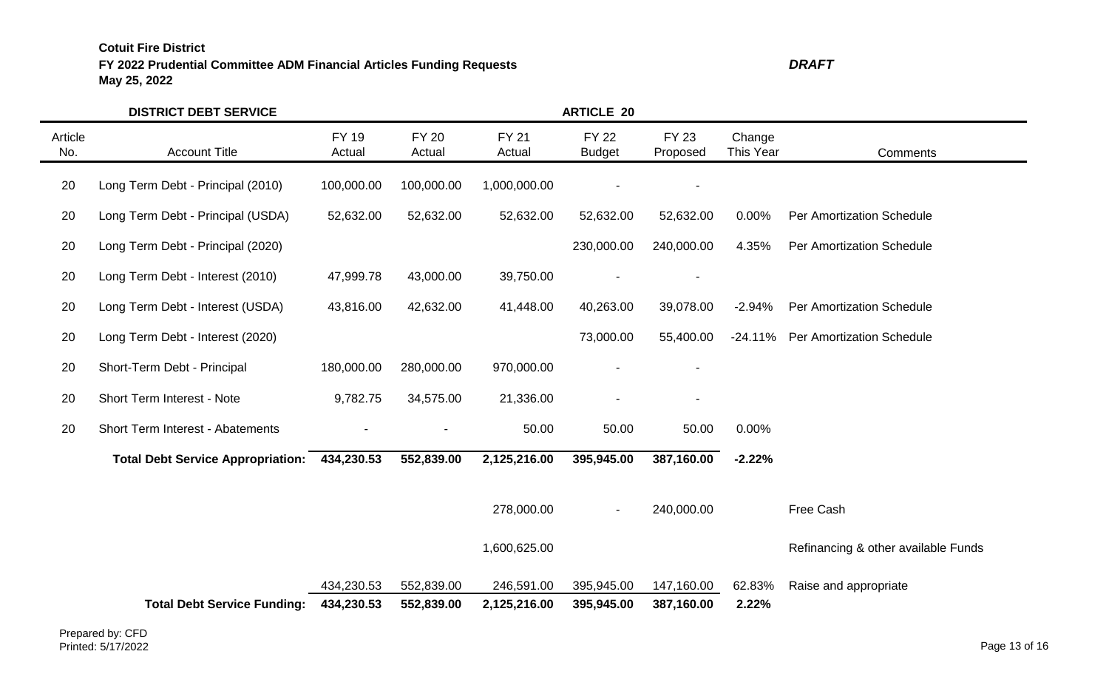# **FY 2022 Prudential Committee ADM Financial Articles Funding Requests** *DRAFT* **May 25, 2022**

|                | <b>DISTRICT DEBT SERVICE</b>             |                          |                          |                            | <b>ARTICLE 20</b>             |                          |                     |                                     |
|----------------|------------------------------------------|--------------------------|--------------------------|----------------------------|-------------------------------|--------------------------|---------------------|-------------------------------------|
| Article<br>No. | <b>Account Title</b>                     | <b>FY 19</b><br>Actual   | <b>FY 20</b><br>Actual   | <b>FY 21</b><br>Actual     | <b>FY 22</b><br><b>Budget</b> | <b>FY 23</b><br>Proposed | Change<br>This Year | Comments                            |
| 20             | Long Term Debt - Principal (2010)        | 100,000.00               | 100,000.00               | 1,000,000.00               |                               |                          |                     |                                     |
| 20             | Long Term Debt - Principal (USDA)        | 52,632.00                | 52,632.00                | 52,632.00                  | 52,632.00                     | 52,632.00                | 0.00%               | Per Amortization Schedule           |
| 20             | Long Term Debt - Principal (2020)        |                          |                          |                            | 230,000.00                    | 240,000.00               | 4.35%               | <b>Per Amortization Schedule</b>    |
| 20             | Long Term Debt - Interest (2010)         | 47,999.78                | 43,000.00                | 39,750.00                  |                               |                          |                     |                                     |
| 20             | Long Term Debt - Interest (USDA)         | 43,816.00                | 42,632.00                | 41,448.00                  | 40,263.00                     | 39,078.00                | $-2.94%$            | <b>Per Amortization Schedule</b>    |
| 20             | Long Term Debt - Interest (2020)         |                          |                          |                            | 73,000.00                     | 55,400.00                | $-24.11\%$          | <b>Per Amortization Schedule</b>    |
| 20             | Short-Term Debt - Principal              | 180,000.00               | 280,000.00               | 970,000.00                 |                               |                          |                     |                                     |
| 20             | Short Term Interest - Note               | 9,782.75                 | 34,575.00                | 21,336.00                  |                               |                          |                     |                                     |
| 20             | Short Term Interest - Abatements         |                          |                          | 50.00                      | 50.00                         | 50.00                    | 0.00%               |                                     |
|                | <b>Total Debt Service Appropriation:</b> | 434,230.53               | 552,839.00               | 2,125,216.00               | 395,945.00                    | 387,160.00               | $-2.22%$            |                                     |
|                |                                          |                          |                          | 278,000.00                 |                               | 240,000.00               |                     | Free Cash                           |
|                |                                          |                          |                          | 1,600,625.00               |                               |                          |                     | Refinancing & other available Funds |
|                | <b>Total Debt Service Funding:</b>       | 434,230.53<br>434,230.53 | 552,839.00<br>552,839.00 | 246,591.00<br>2,125,216.00 | 395,945.00<br>395,945.00      | 147,160.00<br>387,160.00 | 62.83%<br>2.22%     | Raise and appropriate               |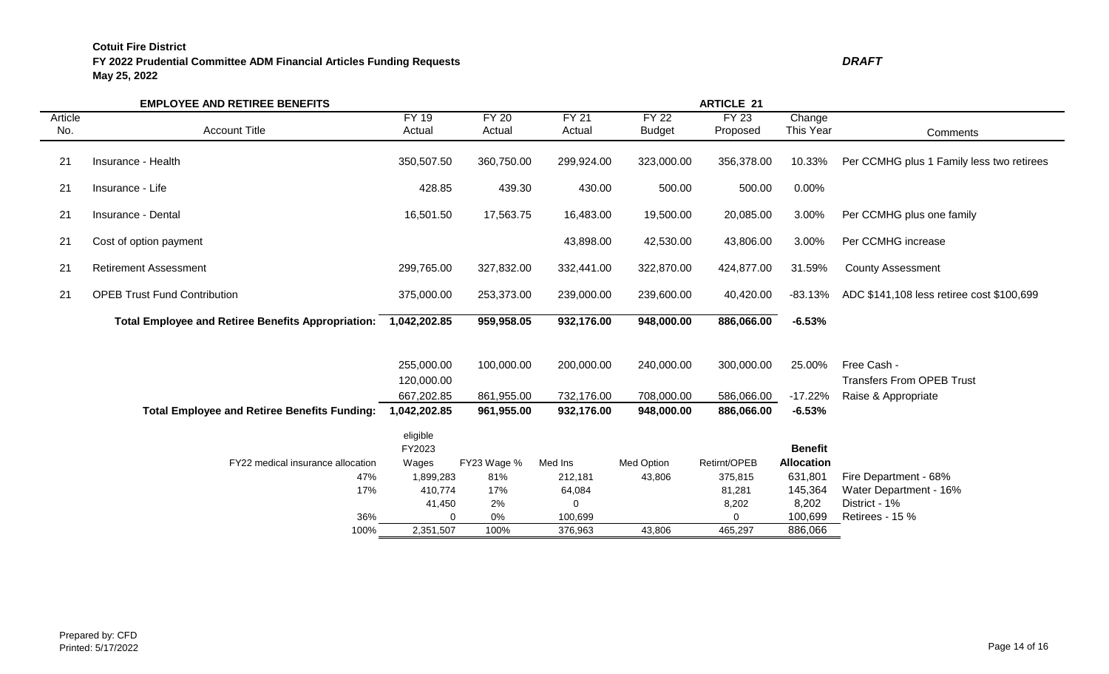# **FY 2022 Prudential Committee ADM Financial Articles Funding Requests** *DRAFT* **May 25, 2022**

|                | <b>EMPLOYEE AND RETIREE BENEFITS</b>                      |                          | <b>ARTICLE 21</b>      |                        |                               |                          |                              |                                                 |  |  |
|----------------|-----------------------------------------------------------|--------------------------|------------------------|------------------------|-------------------------------|--------------------------|------------------------------|-------------------------------------------------|--|--|
| Article<br>No. | <b>Account Title</b>                                      | <b>FY 19</b><br>Actual   | <b>FY 20</b><br>Actual | <b>FY 21</b><br>Actual | <b>FY 22</b><br><b>Budget</b> | <b>FY 23</b><br>Proposed | Change<br>This Year          |                                                 |  |  |
|                |                                                           |                          |                        |                        |                               |                          |                              | Comments                                        |  |  |
| 21             | Insurance - Health                                        | 350,507.50               | 360,750.00             | 299,924.00             | 323,000.00                    | 356,378.00               | 10.33%                       | Per CCMHG plus 1 Family less two retirees       |  |  |
| 21             | Insurance - Life                                          | 428.85                   | 439.30                 | 430.00                 | 500.00                        | 500.00                   | 0.00%                        |                                                 |  |  |
| 21             | Insurance - Dental                                        | 16,501.50                | 17,563.75              | 16,483.00              | 19,500.00                     | 20,085.00                | 3.00%                        | Per CCMHG plus one family                       |  |  |
| 21             | Cost of option payment                                    |                          |                        | 43,898.00              | 42,530.00                     | 43,806.00                | 3.00%                        | Per CCMHG increase                              |  |  |
| 21             | <b>Retirement Assessment</b>                              | 299,765.00               | 327,832.00             | 332,441.00             | 322,870.00                    | 424,877.00               | 31.59%                       | <b>County Assessment</b>                        |  |  |
| 21             | <b>OPEB Trust Fund Contribution</b>                       | 375,000.00               | 253,373.00             | 239,000.00             | 239,600.00                    | 40,420.00                | $-83.13%$                    | ADC \$141,108 less retiree cost \$100,699       |  |  |
|                | <b>Total Employee and Retiree Benefits Appropriation:</b> | 1,042,202.85             | 959,958.05             | 932,176.00             | 948,000.00                    | 886,066.00               | $-6.53%$                     |                                                 |  |  |
|                |                                                           | 255,000.00<br>120,000.00 | 100,000.00             | 200,000.00             | 240,000.00                    | 300,000.00               | 25.00%                       | Free Cash -<br><b>Transfers From OPEB Trust</b> |  |  |
|                |                                                           | 667,202.85               | 861,955.00             | 732,176.00             | 708,000.00                    | 586,066.00               | $-17.22%$                    | Raise & Appropriate                             |  |  |
|                | <b>Total Employee and Retiree Benefits Funding:</b>       | 1,042,202.85             | 961,955.00             | 932,176.00             | 948,000.00                    | 886,066.00               | $-6.53%$                     |                                                 |  |  |
|                |                                                           | eligible<br>FY2023       |                        |                        |                               |                          | <b>Benefit</b>               |                                                 |  |  |
|                | FY22 medical insurance allocation<br>47%                  | Wages<br>1,899,283       | FY23 Wage %<br>81%     | Med Ins<br>212,181     | Med Option<br>43,806          | Retirnt/OPEB<br>375,815  | <b>Allocation</b><br>631,801 | Fire Department - 68%                           |  |  |
|                | 17%                                                       | 410,774                  | 17%                    | 64,084                 |                               | 81,281                   | 145,364                      | Water Department - 16%                          |  |  |
|                |                                                           | 41,450                   | 2%                     | 0                      |                               | 8,202                    | 8,202                        | District - 1%                                   |  |  |
|                | 36%                                                       | $\Omega$                 | 0%                     | 100,699                |                               | $\Omega$                 | 100,699                      | Retirees - 15 %                                 |  |  |
|                | 100%                                                      | 2,351,507                | 100%                   | 376,963                | 43,806                        | 465,297                  | 886,066                      |                                                 |  |  |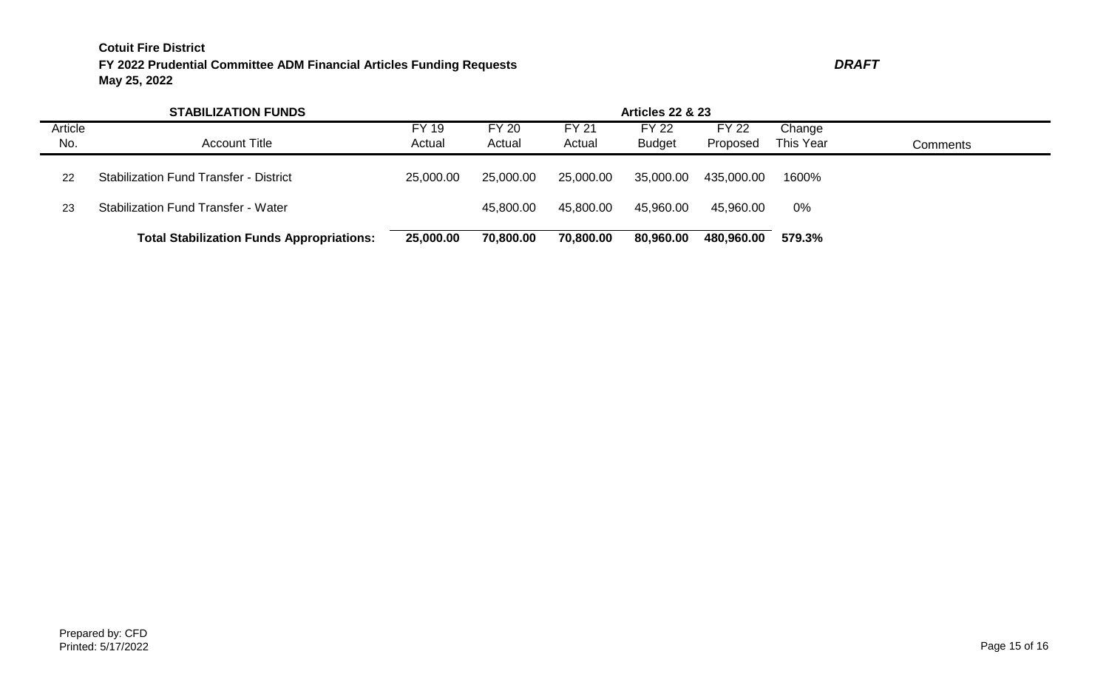|                       | <b>STABILIZATION FUNDS</b>                       | <b>Articles 22 &amp; 23</b> |                        |                        |                               |                          |                     |          |  |
|-----------------------|--------------------------------------------------|-----------------------------|------------------------|------------------------|-------------------------------|--------------------------|---------------------|----------|--|
| <b>Article</b><br>No. | <b>Account Title</b>                             | FY 19<br>Actual             | <b>FY 20</b><br>Actual | <b>FY 21</b><br>Actual | <b>FY 22</b><br><b>Budget</b> | <b>FY 22</b><br>Proposed | Change<br>This Year | Comments |  |
| 22                    | <b>Stabilization Fund Transfer - District</b>    | 25,000.00                   | 25,000.00              | 25,000.00              | 35,000.00                     | 435,000.00               | 1600%               |          |  |
| 23                    | <b>Stabilization Fund Transfer - Water</b>       |                             | 45,800.00              | 45,800.00              | 45,960.00                     | 45,960.00                | 0%                  |          |  |
|                       | <b>Total Stabilization Funds Appropriations:</b> | 25,000.00                   | 70,800.00              | 70,800.00              | 80,960.00                     | 480,960.00               | 579.3%              |          |  |